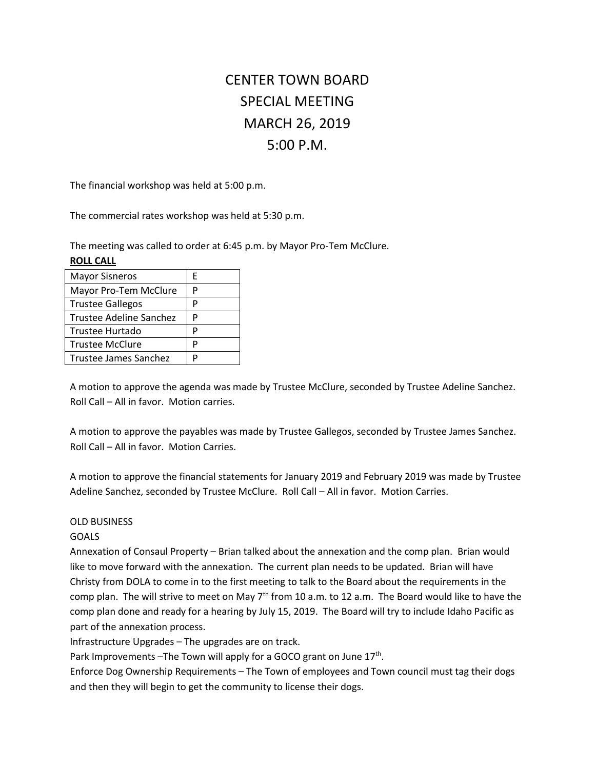# CENTER TOWN BOARD SPECIAL MEETING MARCH 26, 2019 5:00 P.M.

The financial workshop was held at 5:00 p.m.

The commercial rates workshop was held at 5:30 p.m.

The meeting was called to order at 6:45 p.m. by Mayor Pro-Tem McClure.

| <b>ROLL CALL</b>               |   |
|--------------------------------|---|
| <b>Mayor Sisneros</b>          | F |
| Mayor Pro-Tem McClure          | P |
| <b>Trustee Gallegos</b>        | Р |
| <b>Trustee Adeline Sanchez</b> | P |
| Trustee Hurtado                | P |
| <b>Trustee McClure</b>         | P |
| Trustee James Sanchez          | D |

A motion to approve the agenda was made by Trustee McClure, seconded by Trustee Adeline Sanchez. Roll Call – All in favor. Motion carries.

A motion to approve the payables was made by Trustee Gallegos, seconded by Trustee James Sanchez. Roll Call – All in favor. Motion Carries.

A motion to approve the financial statements for January 2019 and February 2019 was made by Trustee Adeline Sanchez, seconded by Trustee McClure. Roll Call – All in favor. Motion Carries.

## OLD BUSINESS

## GOALS

Annexation of Consaul Property – Brian talked about the annexation and the comp plan. Brian would like to move forward with the annexation. The current plan needs to be updated. Brian will have Christy from DOLA to come in to the first meeting to talk to the Board about the requirements in the comp plan. The will strive to meet on May 7<sup>th</sup> from 10 a.m. to 12 a.m. The Board would like to have the comp plan done and ready for a hearing by July 15, 2019. The Board will try to include Idaho Pacific as part of the annexation process.

Infrastructure Upgrades – The upgrades are on track.

Park Improvements - The Town will apply for a GOCO grant on June  $17<sup>th</sup>$ .

Enforce Dog Ownership Requirements – The Town of employees and Town council must tag their dogs and then they will begin to get the community to license their dogs.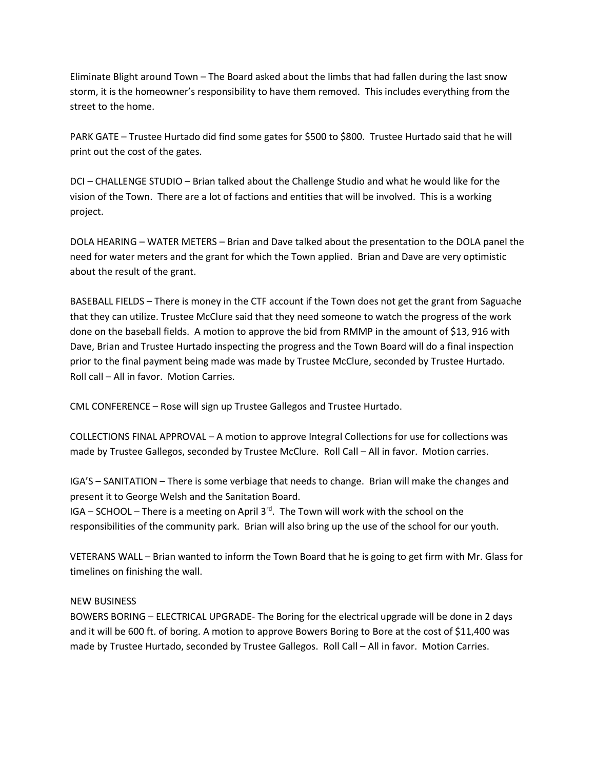Eliminate Blight around Town – The Board asked about the limbs that had fallen during the last snow storm, it is the homeowner's responsibility to have them removed. This includes everything from the street to the home.

PARK GATE – Trustee Hurtado did find some gates for \$500 to \$800. Trustee Hurtado said that he will print out the cost of the gates.

DCI – CHALLENGE STUDIO – Brian talked about the Challenge Studio and what he would like for the vision of the Town. There are a lot of factions and entities that will be involved. This is a working project.

DOLA HEARING – WATER METERS – Brian and Dave talked about the presentation to the DOLA panel the need for water meters and the grant for which the Town applied. Brian and Dave are very optimistic about the result of the grant.

BASEBALL FIELDS – There is money in the CTF account if the Town does not get the grant from Saguache that they can utilize. Trustee McClure said that they need someone to watch the progress of the work done on the baseball fields. A motion to approve the bid from RMMP in the amount of \$13, 916 with Dave, Brian and Trustee Hurtado inspecting the progress and the Town Board will do a final inspection prior to the final payment being made was made by Trustee McClure, seconded by Trustee Hurtado. Roll call – All in favor. Motion Carries.

CML CONFERENCE – Rose will sign up Trustee Gallegos and Trustee Hurtado.

COLLECTIONS FINAL APPROVAL – A motion to approve Integral Collections for use for collections was made by Trustee Gallegos, seconded by Trustee McClure. Roll Call – All in favor. Motion carries.

IGA'S – SANITATION – There is some verbiage that needs to change. Brian will make the changes and present it to George Welsh and the Sanitation Board.

IGA – SCHOOL – There is a meeting on April  $3<sup>rd</sup>$ . The Town will work with the school on the responsibilities of the community park. Brian will also bring up the use of the school for our youth.

VETERANS WALL – Brian wanted to inform the Town Board that he is going to get firm with Mr. Glass for timelines on finishing the wall.

## NEW BUSINESS

BOWERS BORING – ELECTRICAL UPGRADE- The Boring for the electrical upgrade will be done in 2 days and it will be 600 ft. of boring. A motion to approve Bowers Boring to Bore at the cost of \$11,400 was made by Trustee Hurtado, seconded by Trustee Gallegos. Roll Call – All in favor. Motion Carries.